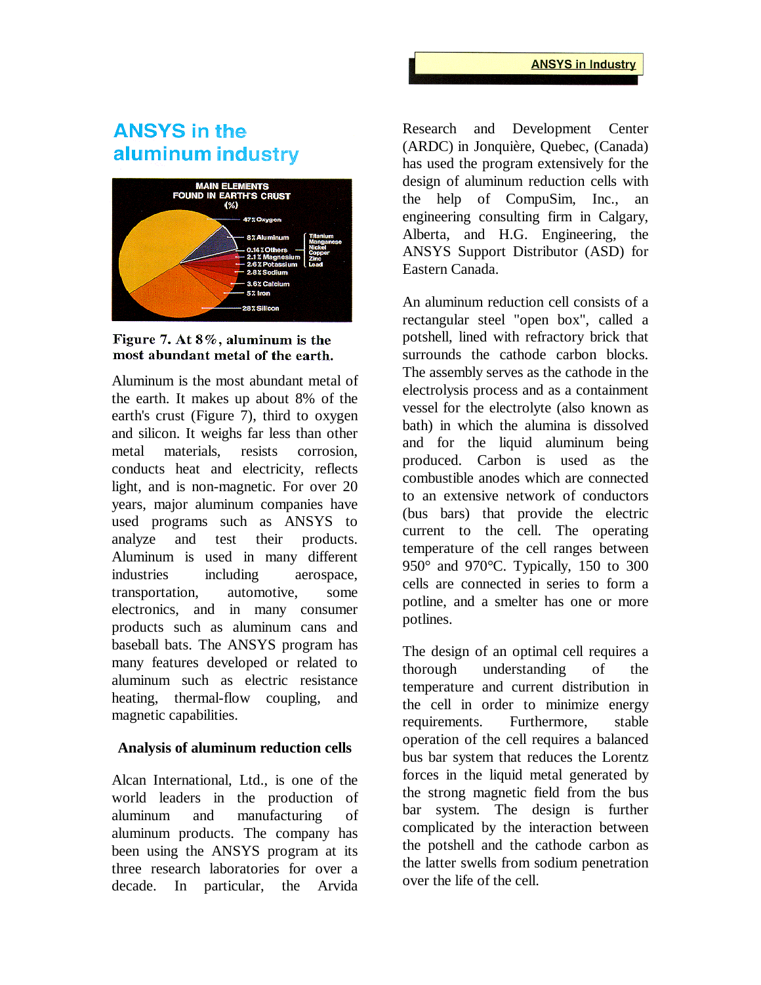## **ANSYS in the** aluminum industry





Aluminum is the most abundant metal of the earth. It makes up about 8% of the earth's crust (Figure 7), third to oxygen and silicon. It weighs far less than other metal materials, resists corrosion, conducts heat and electricity, reflects light, and is non-magnetic. For over 20 years, major aluminum companies have used programs such as ANSYS to analyze and test their products. Aluminum is used in many different industries including aerospace, transportation, automotive, some electronics, and in many consumer products such as aluminum cans and baseball bats. The ANSYS program has many features developed or related to aluminum such as electric resistance heating, thermal-flow coupling, and magnetic capabilities.

## **Analysis of aluminum reduction cells**

Alcan International, Ltd., is one of the world leaders in the production of aluminum and manufacturing of aluminum products. The company has been using the ANSYS program at its three research laboratories for over a decade. In particular, the Arvida

Research and Development Center (ARDC) in Jonquière, Quebec, (Canada) has used the program extensively for the design of aluminum reduction cells with the help of CompuSim, Inc., an engineering consulting firm in Calgary, Alberta, and H.G. Engineering, the ANSYS Support Distributor (ASD) for Eastern Canada.

An aluminum reduction cell consists of a rectangular steel "open box", called a potshell, lined with refractory brick that surrounds the cathode carbon blocks. The assembly serves as the cathode in the electrolysis process and as a containment vessel for the electrolyte (also known as bath) in which the alumina is dissolved and for the liquid aluminum being produced. Carbon is used as the combustible anodes which are connected to an extensive network of conductors (bus bars) that provide the electric current to the cell. The operating temperature of the cell ranges between 950° and 970°C. Typically, 150 to 300 cells are connected in series to form a potline, and a smelter has one or more potlines.

The design of an optimal cell requires a thorough understanding of the temperature and current distribution in the cell in order to minimize energy requirements. Furthermore, stable operation of the cell requires a balanced bus bar system that reduces the Lorentz forces in the liquid metal generated by the strong magnetic field from the bus bar system. The design is further complicated by the interaction between the potshell and the cathode carbon as the latter swells from sodium penetration over the life of the cell.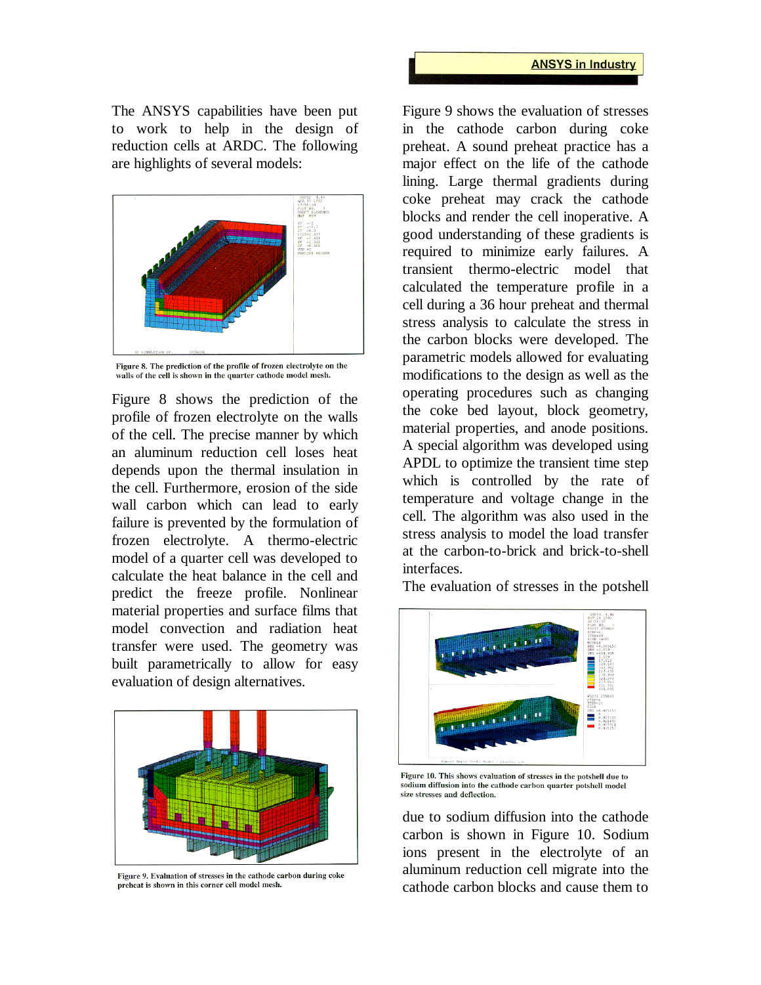The ANSYS capabilities have been put to work to help in the design of reduction cells at ARDC. The following are highlights of several models:



Figure 8. The prediction of the profile of frozen electrolyte on the walls of the cell is shown in the quarter cathode model mesh.

Figure 8 shows the prediction of the profile of frozen electrolyte on the walls of the cell. The precise manner by which an aluminum reduction cell loses heat depends upon the thermal insulation in the cell. Furthermore, erosion of the side wall carbon which can lead to early failure is prevented by the formulation of frozen electrolyte. A thermo-electric model of a quarter cell was developed to calculate the heat balance in the cell and predict the freeze profile. Nonlinear material properties and surface films that model convection and radiation heat transfer were used. The geometry was built parametrically to allow for easy evaluation of design alternatives.



Figure 9. Evaluation of stresses in the cathode carbon during coke preheat is shown in this corner cell model mesh.

Figure 9 shows the evaluation of stresses in the cathode carbon during coke preheat. A sound preheat practice has a major effect on the life of the cathode lining. Large thermal gradients during coke preheat may crack the cathode blocks and render the cell inoperative. A good understanding of these gradients is required to minimize early failures. A transient thermo-electric model that calculated the temperature profile in a cell during a 36 hour preheat and thermal stress analysis to calculate the stress in the carbon blocks were developed. The parametric models allowed for evaluating modifications to the design as well as the operating procedures such as changing the coke bed layout, block geometry, material properties, and anode positions. A special algorithm was developed using APDL to optimize the transient time step which is controlled by the rate of temperature and voltage change in the cell. The algorithm was also used in the stress analysis to model the load transfer at the carbon-to-brick and brick-to-shell interfaces.

The evaluation of stresses in the potshell



Figure 10. This shows evaluation of stresses in the potshell due to sodium diffusion into the cathode carbon quarter potshell model size stresses and deflection.

due to sodium diffusion into the cathode carbon is shown in Figure 10. Sodium ions present in the electrolyte of an aluminum reduction cell migrate into the cathode carbon blocks and cause them to